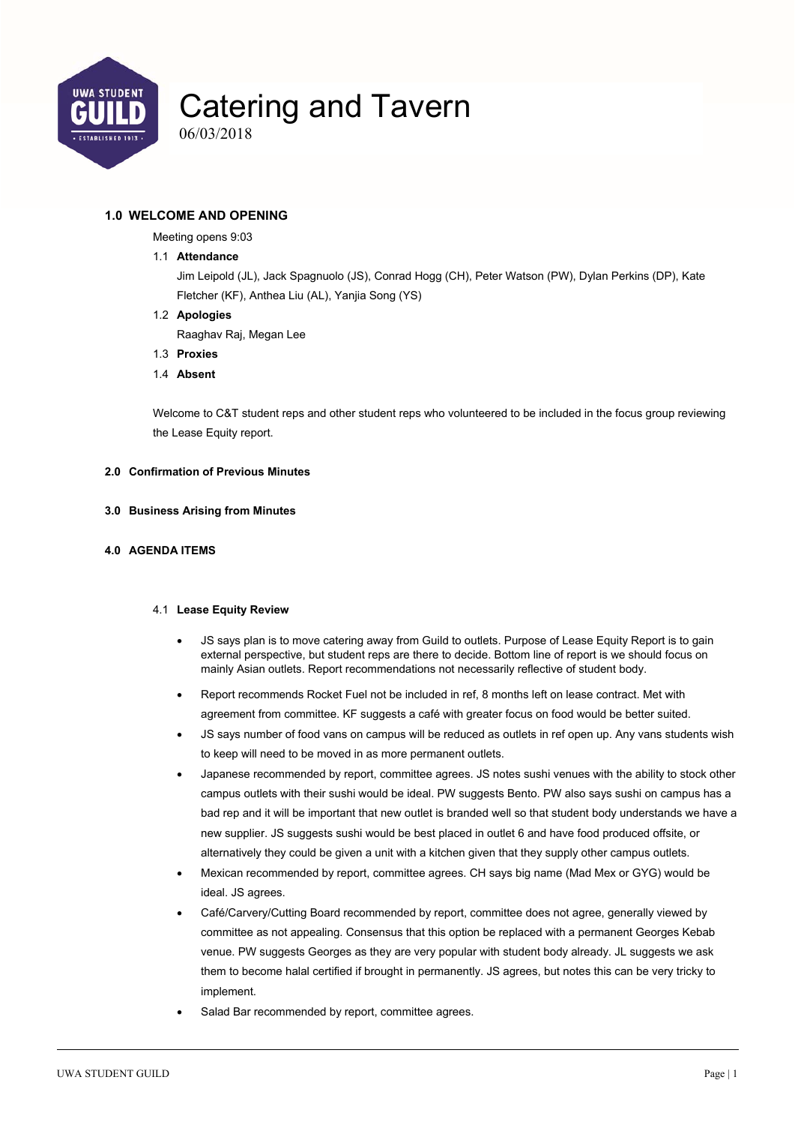

06/03/2018

#### **1.0 WELCOME AND OPENING**

Meeting opens 9:03

#### 1.1 **Attendance**

Jim Leipold (JL), Jack Spagnuolo (JS), Conrad Hogg (CH), Peter Watson (PW), Dylan Perkins (DP), Kate Fletcher (KF), Anthea Liu (AL), Yanjia Song (YS)

1.2 **Apologies** 

Raaghav Raj, Megan Lee

- 1.3 **Proxies**
- 1.4 **Absent**

Welcome to C&T student reps and other student reps who volunteered to be included in the focus group reviewing the Lease Equity report.

#### **2.0 Confirmation of Previous Minutes**

#### **3.0 Business Arising from Minutes**

#### **4.0 AGENDA ITEMS**

#### 4.1 **Lease Equity Review**

- JS says plan is to move catering away from Guild to outlets. Purpose of Lease Equity Report is to gain external perspective, but student reps are there to decide. Bottom line of report is we should focus on mainly Asian outlets. Report recommendations not necessarily reflective of student body.
- Report recommends Rocket Fuel not be included in ref, 8 months left on lease contract. Met with agreement from committee. KF suggests a café with greater focus on food would be better suited.
- JS says number of food vans on campus will be reduced as outlets in ref open up. Any vans students wish to keep will need to be moved in as more permanent outlets.
- Japanese recommended by report, committee agrees. JS notes sushi venues with the ability to stock other campus outlets with their sushi would be ideal. PW suggests Bento. PW also says sushi on campus has a bad rep and it will be important that new outlet is branded well so that student body understands we have a new supplier. JS suggests sushi would be best placed in outlet 6 and have food produced offsite, or alternatively they could be given a unit with a kitchen given that they supply other campus outlets.
- Mexican recommended by report, committee agrees. CH says big name (Mad Mex or GYG) would be ideal. JS agrees.
- Café/Carvery/Cutting Board recommended by report, committee does not agree, generally viewed by committee as not appealing. Consensus that this option be replaced with a permanent Georges Kebab venue. PW suggests Georges as they are very popular with student body already. JL suggests we ask them to become halal certified if brought in permanently. JS agrees, but notes this can be very tricky to implement.
- Salad Bar recommended by report, committee agrees.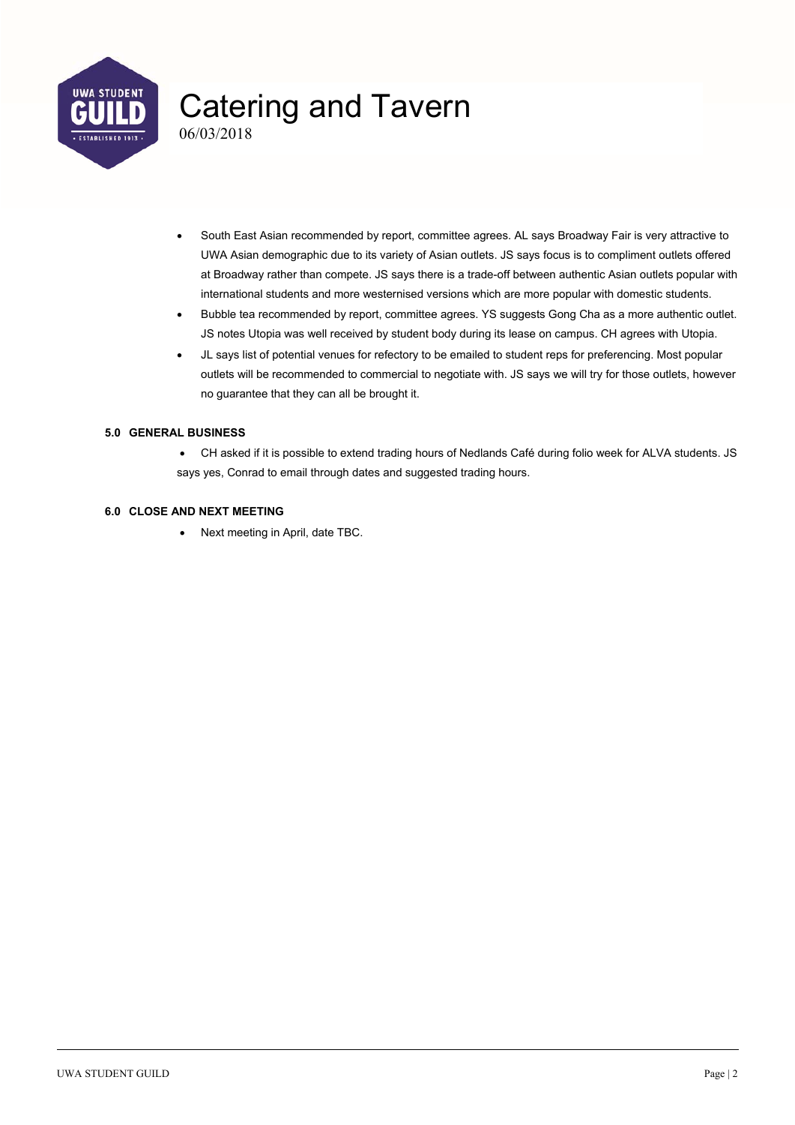

06/03/2018

- South East Asian recommended by report, committee agrees. AL says Broadway Fair is very attractive to UWA Asian demographic due to its variety of Asian outlets. JS says focus is to compliment outlets offered at Broadway rather than compete. JS says there is a trade-off between authentic Asian outlets popular with international students and more westernised versions which are more popular with domestic students.
- Bubble tea recommended by report, committee agrees. YS suggests Gong Cha as a more authentic outlet. JS notes Utopia was well received by student body during its lease on campus. CH agrees with Utopia.
- JL says list of potential venues for refectory to be emailed to student reps for preferencing. Most popular outlets will be recommended to commercial to negotiate with. JS says we will try for those outlets, however no guarantee that they can all be brought it.

#### **5.0 GENERAL BUSINESS**

 CH asked if it is possible to extend trading hours of Nedlands Café during folio week for ALVA students. JS says yes, Conrad to email through dates and suggested trading hours.

#### **6.0 CLOSE AND NEXT MEETING**

• Next meeting in April, date TBC.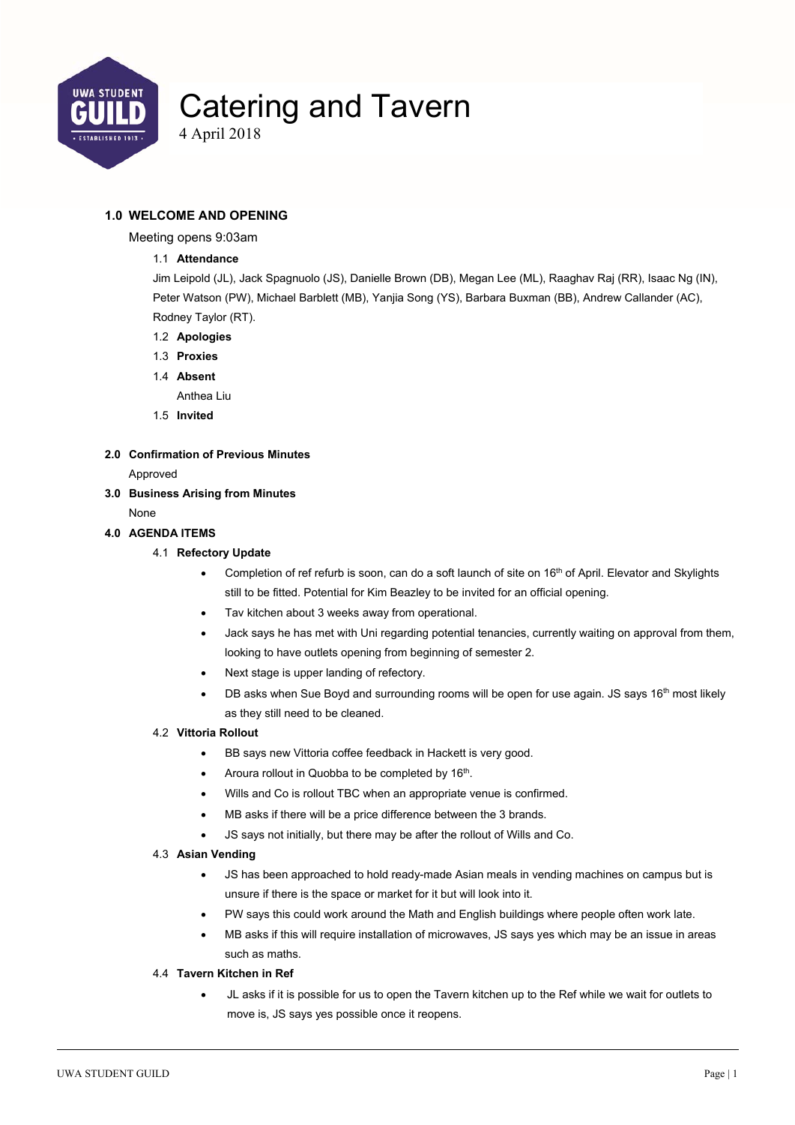

4 April 2018

#### **1.0 WELCOME AND OPENING**

Meeting opens 9:03am

#### 1.1 **Attendance**

Jim Leipold (JL), Jack Spagnuolo (JS), Danielle Brown (DB), Megan Lee (ML), Raaghav Raj (RR), Isaac Ng (IN), Peter Watson (PW), Michael Barblett (MB), Yanjia Song (YS), Barbara Buxman (BB), Andrew Callander (AC), Rodney Taylor (RT).

- 1.2 **Apologies**
- 1.3 **Proxies**
- 1.4 **Absent** 
	- Anthea Liu
- 1.5 **Invited**
- **2.0 Confirmation of Previous Minutes**

Approved

- **3.0 Business Arising from Minutes** 
	- None

#### **4.0 AGENDA ITEMS**

#### 4.1 **Refectory Update**

- Completion of ref refurb is soon, can do a soft launch of site on 16<sup>th</sup> of April. Elevator and Skylights still to be fitted. Potential for Kim Beazley to be invited for an official opening.
- Tav kitchen about 3 weeks away from operational.
- Jack says he has met with Uni regarding potential tenancies, currently waiting on approval from them, looking to have outlets opening from beginning of semester 2.
- Next stage is upper landing of refectory.
- DB asks when Sue Boyd and surrounding rooms will be open for use again. JS says 16<sup>th</sup> most likely as they still need to be cleaned.

#### 4.2 **Vittoria Rollout**

- **BB says new Vittoria coffee feedback in Hackett is very good.**
- $\bullet$  Aroura rollout in Quobba to be completed by 16<sup>th</sup>.
- Wills and Co is rollout TBC when an appropriate venue is confirmed.
- MB asks if there will be a price difference between the 3 brands.
- JS says not initially, but there may be after the rollout of Wills and Co.

#### 4.3 **Asian Vending**

- JS has been approached to hold ready-made Asian meals in vending machines on campus but is unsure if there is the space or market for it but will look into it.
- PW says this could work around the Math and English buildings where people often work late.
- MB asks if this will require installation of microwaves, JS says yes which may be an issue in areas such as maths.

#### 4.4 **Tavern Kitchen in Ref**

 JL asks if it is possible for us to open the Tavern kitchen up to the Ref while we wait for outlets to move is, JS says yes possible once it reopens.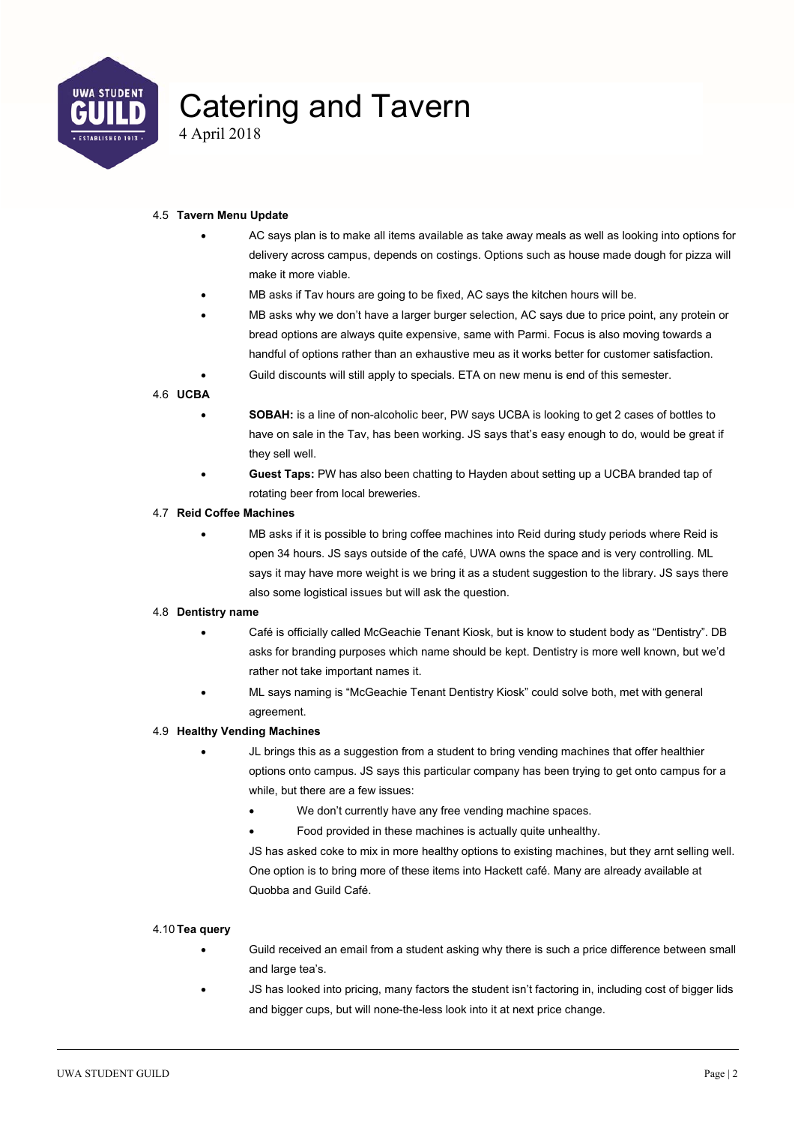

4 April 2018

#### 4.5 **Tavern Menu Update**

- AC says plan is to make all items available as take away meals as well as looking into options for delivery across campus, depends on costings. Options such as house made dough for pizza will make it more viable.
- MB asks if Tav hours are going to be fixed, AC says the kitchen hours will be.
- MB asks why we don't have a larger burger selection, AC says due to price point, any protein or bread options are always quite expensive, same with Parmi. Focus is also moving towards a handful of options rather than an exhaustive meu as it works better for customer satisfaction.
	- Guild discounts will still apply to specials. ETA on new menu is end of this semester.

#### 4.6 **UCBA**

- **SOBAH:** is a line of non-alcoholic beer, PW says UCBA is looking to get 2 cases of bottles to have on sale in the Tav, has been working. JS says that's easy enough to do, would be great if they sell well.
- **Guest Taps:** PW has also been chatting to Hayden about setting up a UCBA branded tap of rotating beer from local breweries.

#### 4.7 **Reid Coffee Machines**

 MB asks if it is possible to bring coffee machines into Reid during study periods where Reid is open 34 hours. JS says outside of the café, UWA owns the space and is very controlling. ML says it may have more weight is we bring it as a student suggestion to the library. JS says there also some logistical issues but will ask the question.

#### 4.8 **Dentistry name**

- Café is officially called McGeachie Tenant Kiosk, but is know to student body as "Dentistry". DB asks for branding purposes which name should be kept. Dentistry is more well known, but we'd rather not take important names it.
- ML says naming is "McGeachie Tenant Dentistry Kiosk" could solve both, met with general agreement.

#### 4.9 **Healthy Vending Machines**

- JL brings this as a suggestion from a student to bring vending machines that offer healthier options onto campus. JS says this particular company has been trying to get onto campus for a while, but there are a few issues:
	- We don't currently have any free vending machine spaces.
	- Food provided in these machines is actually quite unhealthy.

JS has asked coke to mix in more healthy options to existing machines, but they arnt selling well. One option is to bring more of these items into Hackett café. Many are already available at Quobba and Guild Café.

#### 4.10 **Tea query**

- Guild received an email from a student asking why there is such a price difference between small and large tea's.
	- JS has looked into pricing, many factors the student isn't factoring in, including cost of bigger lids and bigger cups, but will none-the-less look into it at next price change.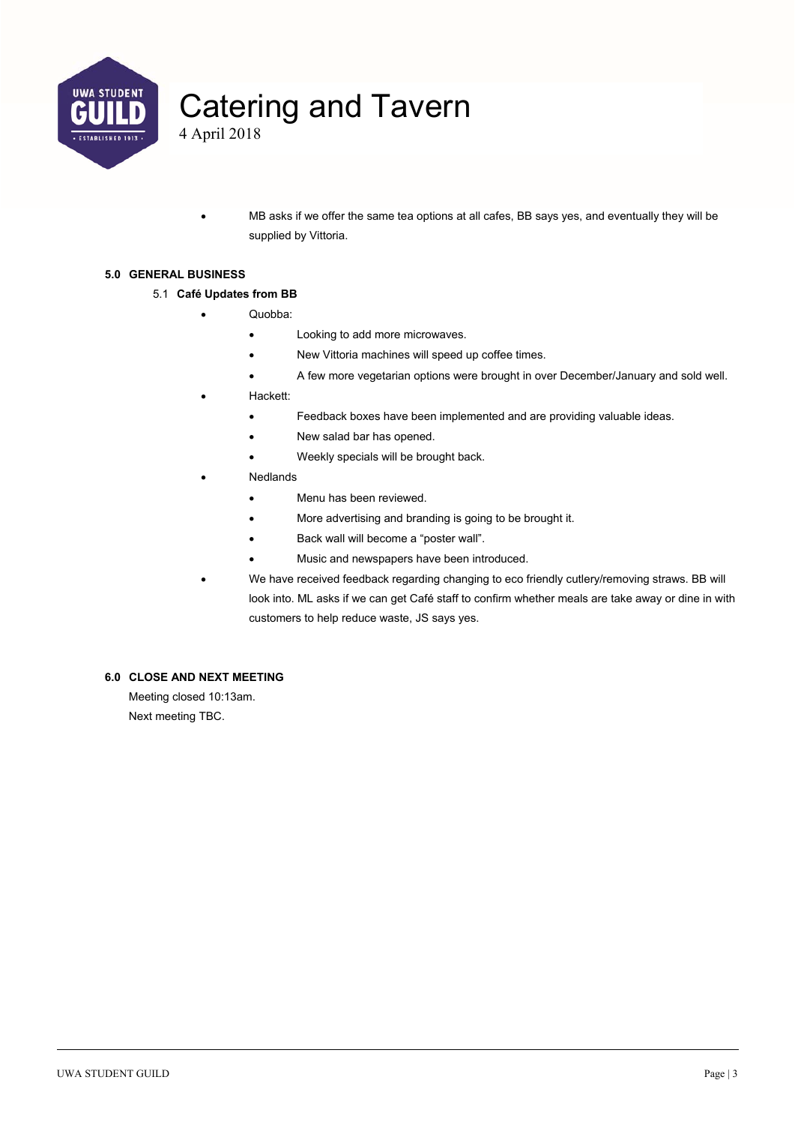

4 April 2018

 MB asks if we offer the same tea options at all cafes, BB says yes, and eventually they will be supplied by Vittoria.

#### **5.0 GENERAL BUSINESS**

#### 5.1 **Café Updates from BB**

- Quobba:
	- Looking to add more microwaves.
	- New Vittoria machines will speed up coffee times.
	- A few more vegetarian options were brought in over December/January and sold well.
- Hackett:
	- Feedback boxes have been implemented and are providing valuable ideas.
	- New salad bar has opened.
	- Weekly specials will be brought back.
- **Nedlands** 
	- Menu has been reviewed.
	- More advertising and branding is going to be brought it.
	- Back wall will become a "poster wall".
	- Music and newspapers have been introduced.
- We have received feedback regarding changing to eco friendly cutlery/removing straws. BB will look into. ML asks if we can get Café staff to confirm whether meals are take away or dine in with customers to help reduce waste, JS says yes.

#### **6.0 CLOSE AND NEXT MEETING**

Meeting closed 10:13am. Next meeting TBC.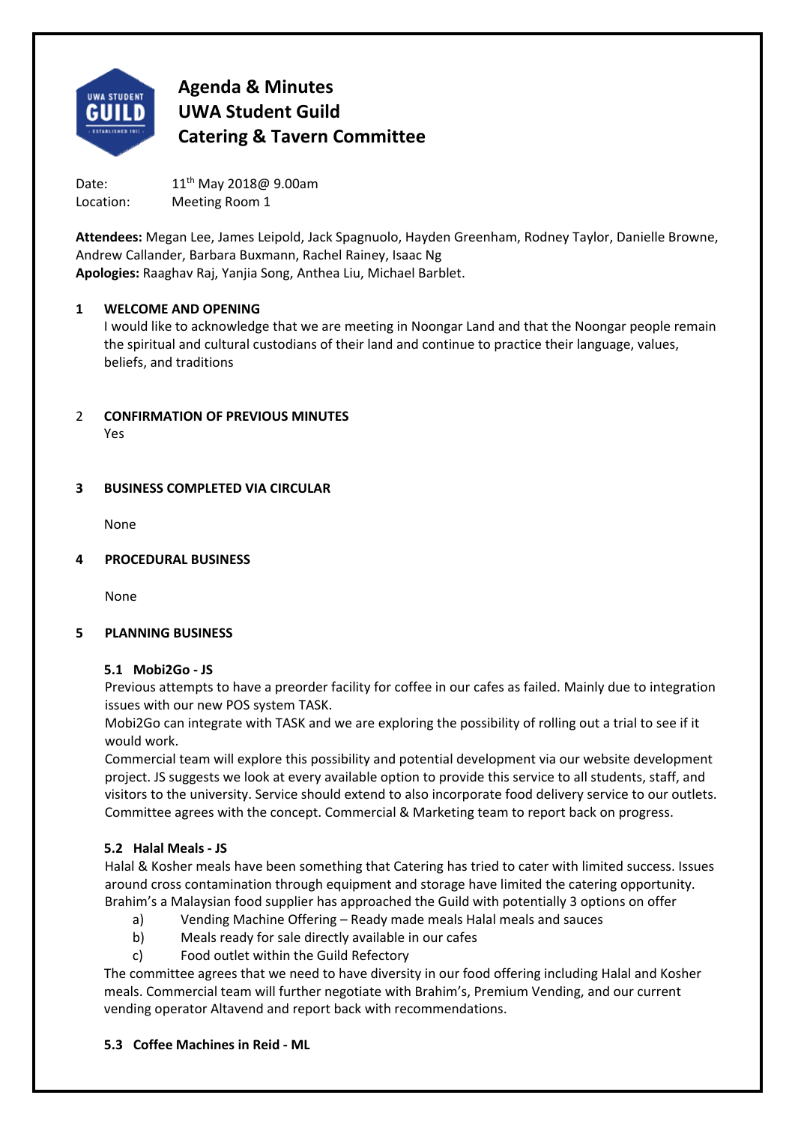

Date: 11<sup>th</sup> May 2018@ 9.00am Location: Meeting Room 1

**Attendees:** Megan Lee, James Leipold, Jack Spagnuolo, Hayden Greenham, Rodney Taylor, Danielle Browne, Andrew Callander, Barbara Buxmann, Rachel Rainey, Isaac Ng **Apologies:** Raaghav Raj, Yanjia Song, Anthea Liu, Michael Barblet.

#### **1 WELCOME AND OPENING**

I would like to acknowledge that we are meeting in Noongar Land and that the Noongar people remain the spiritual and cultural custodians of their land and continue to practice their language, values, beliefs, and traditions

#### 2 **CONFIRMATION OF PREVIOUS MINUTES**  Yes

## **3 BUSINESS COMPLETED VIA CIRCULAR**

None

#### **4 PROCEDURAL BUSINESS**

None

#### **5 PLANNING BUSINESS**

#### **5.1 Mobi2Go ‐ JS**

Previous attempts to have a preorder facility for coffee in our cafes as failed. Mainly due to integration issues with our new POS system TASK.

Mobi2Go can integrate with TASK and we are exploring the possibility of rolling out a trial to see if it would work.

Commercial team will explore this possibility and potential development via our website development project. JS suggests we look at every available option to provide this service to all students, staff, and visitors to the university. Service should extend to also incorporate food delivery service to our outlets. Committee agrees with the concept. Commercial & Marketing team to report back on progress.

## **5.2 Halal Meals ‐ JS**

Halal & Kosher meals have been something that Catering has tried to cater with limited success. Issues around cross contamination through equipment and storage have limited the catering opportunity. Brahim's a Malaysian food supplier has approached the Guild with potentially 3 options on offer

- a) Vending Machine Offering Ready made meals Halal meals and sauces
- b) Meals ready for sale directly available in our cafes
- c) Food outlet within the Guild Refectory

The committee agrees that we need to have diversity in our food offering including Halal and Kosher meals. Commercial team will further negotiate with Brahim's, Premium Vending, and our current vending operator Altavend and report back with recommendations.

## **5.3 Coffee Machines in Reid ‐ ML**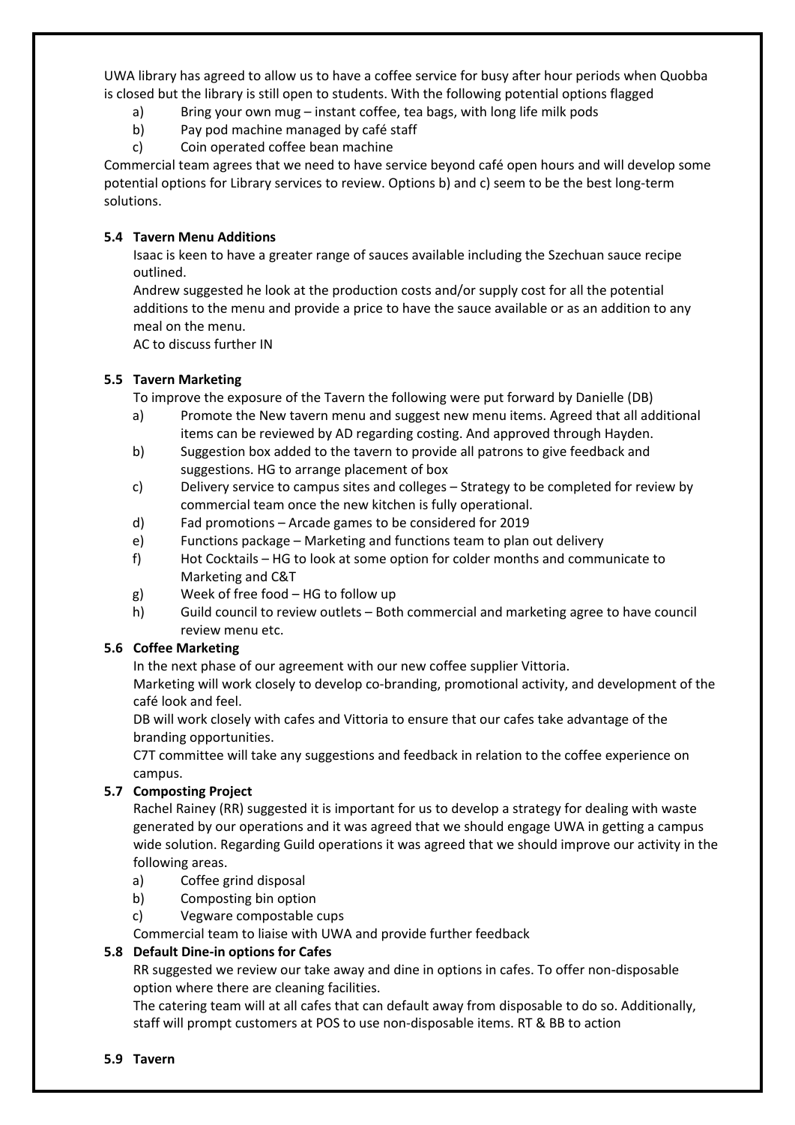UWA library has agreed to allow us to have a coffee service for busy after hour periods when Quobba is closed but the library is still open to students. With the following potential options flagged

- a) Bring your own mug instant coffee, tea bags, with long life milk pods
- b) Pay pod machine managed by café staff
- c) Coin operated coffee bean machine

Commercial team agrees that we need to have service beyond café open hours and will develop some potential options for Library services to review. Options b) and c) seem to be the best long‐term solutions.

## **5.4 Tavern Menu Additions**

Isaac is keen to have a greater range of sauces available including the Szechuan sauce recipe outlined.

Andrew suggested he look at the production costs and/or supply cost for all the potential additions to the menu and provide a price to have the sauce available or as an addition to any meal on the menu.

AC to discuss further IN

## **5.5 Tavern Marketing**

To improve the exposure of the Tavern the following were put forward by Danielle (DB)

- a) Promote the New tavern menu and suggest new menu items. Agreed that all additional items can be reviewed by AD regarding costing. And approved through Hayden.
- b) Suggestion box added to the tavern to provide all patrons to give feedback and suggestions. HG to arrange placement of box
- c) Delivery service to campus sites and colleges Strategy to be completed for review by commercial team once the new kitchen is fully operational.
- d) Fad promotions Arcade games to be considered for 2019
- e) Functions package Marketing and functions team to plan out delivery
- f) Hot Cocktails HG to look at some option for colder months and communicate to Marketing and C&T
- g) Week of free food HG to follow up
- h) Guild council to review outlets Both commercial and marketing agree to have council review menu etc.

## **5.6 Coffee Marketing**

In the next phase of our agreement with our new coffee supplier Vittoria.

Marketing will work closely to develop co-branding, promotional activity, and development of the café look and feel.

DB will work closely with cafes and Vittoria to ensure that our cafes take advantage of the branding opportunities.

C7T committee will take any suggestions and feedback in relation to the coffee experience on campus.

## **5.7 Composting Project**

Rachel Rainey (RR) suggested it is important for us to develop a strategy for dealing with waste generated by our operations and it was agreed that we should engage UWA in getting a campus wide solution. Regarding Guild operations it was agreed that we should improve our activity in the following areas.

- a) Coffee grind disposal
- b) Composting bin option
- c) Vegware compostable cups

Commercial team to liaise with UWA and provide further feedback

## **5.8 Default Dine‐in options for Cafes**

RR suggested we review our take away and dine in options in cafes. To offer non‐disposable option where there are cleaning facilities.

The catering team will at all cafes that can default away from disposable to do so. Additionally, staff will prompt customers at POS to use non‐disposable items. RT & BB to action

#### **5.9 Tavern**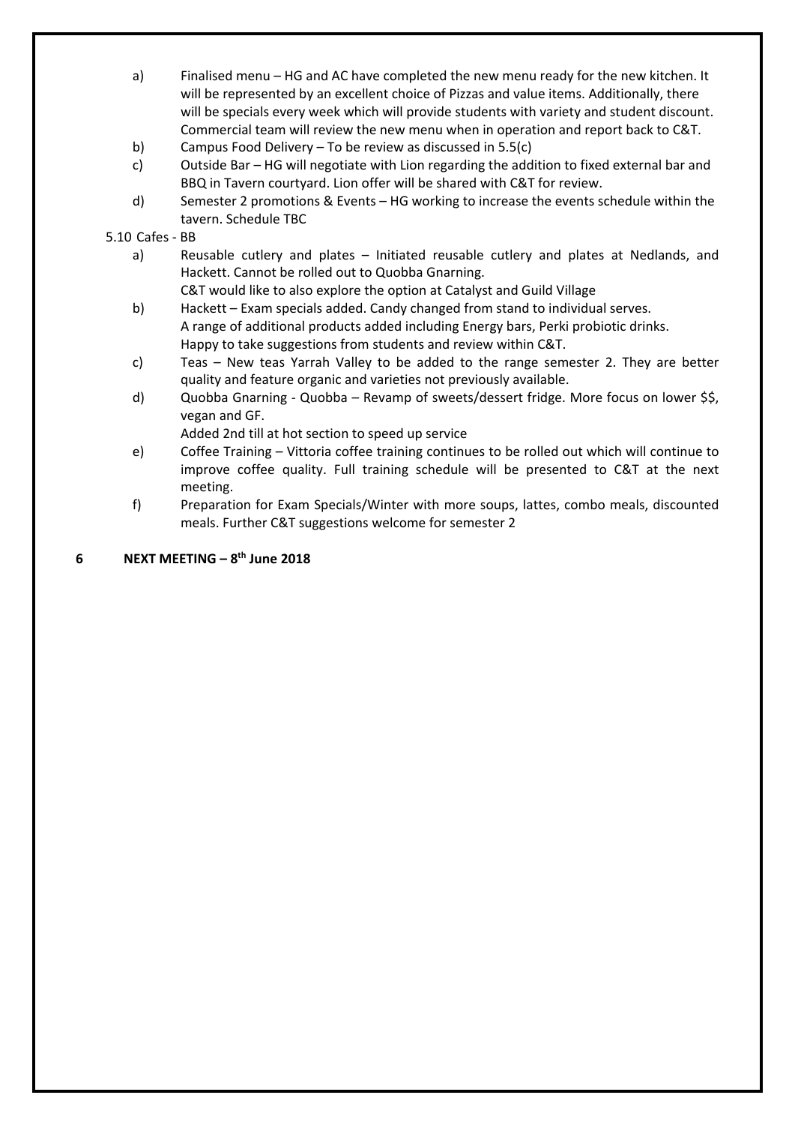- a) Finalised menu HG and AC have completed the new menu ready for the new kitchen. It will be represented by an excellent choice of Pizzas and value items. Additionally, there will be specials every week which will provide students with variety and student discount. Commercial team will review the new menu when in operation and report back to C&T.
- b) Campus Food Delivery To be review as discussed in 5.5(c)
- c) Outside Bar HG will negotiate with Lion regarding the addition to fixed external bar and BBQ in Tavern courtyard. Lion offer will be shared with C&T for review.
- d) Semester 2 promotions & Events HG working to increase the events schedule within the tavern. Schedule TBC

#### 5.10 Cafes ‐ BB

- a) Reusable cutlery and plates Initiated reusable cutlery and plates at Nedlands, and Hackett. Cannot be rolled out to Quobba Gnarning.
	- C&T would like to also explore the option at Catalyst and Guild Village
- b) Hackett Exam specials added. Candy changed from stand to individual serves. A range of additional products added including Energy bars, Perki probiotic drinks. Happy to take suggestions from students and review within C&T.
- c) Teas New teas Yarrah Valley to be added to the range semester 2. They are better quality and feature organic and varieties not previously available.
- d) Quobba Gnarning ‐ Quobba Revamp of sweets/dessert fridge. More focus on lower \$\$, vegan and GF.

Added 2nd till at hot section to speed up service

- e) Coffee Training Vittoria coffee training continues to be rolled out which will continue to improve coffee quality. Full training schedule will be presented to C&T at the next meeting.
- f) Preparation for Exam Specials/Winter with more soups, lattes, combo meals, discounted meals. Further C&T suggestions welcome for semester 2

## **6 NEXT MEETING – 8th June 2018**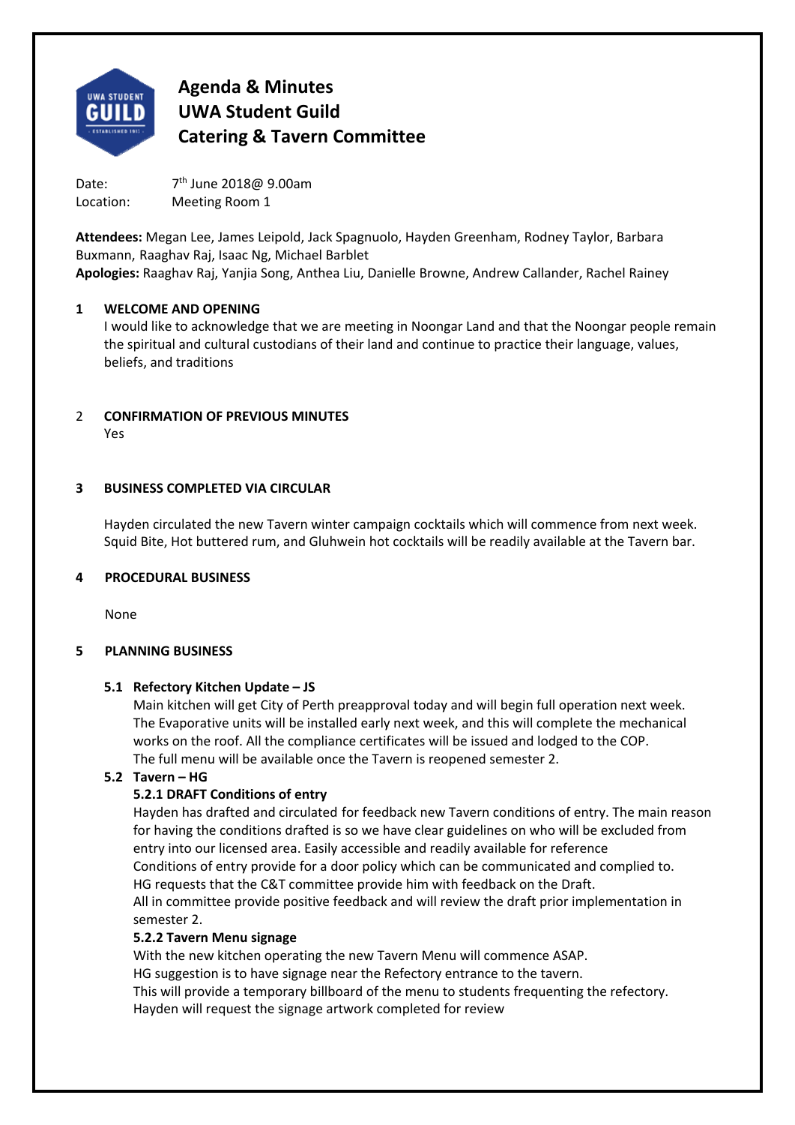

Date:  $7<sup>th</sup>$  June 2018@ 9.00am Location: Meeting Room 1

**Attendees:** Megan Lee, James Leipold, Jack Spagnuolo, Hayden Greenham, Rodney Taylor, Barbara Buxmann, Raaghav Raj, Isaac Ng, Michael Barblet **Apologies:** Raaghav Raj, Yanjia Song, Anthea Liu, Danielle Browne, Andrew Callander, Rachel Rainey

#### **1 WELCOME AND OPENING**

I would like to acknowledge that we are meeting in Noongar Land and that the Noongar people remain the spiritual and cultural custodians of their land and continue to practice their language, values, beliefs, and traditions

## 2 **CONFIRMATION OF PREVIOUS MINUTES**

Yes

## **3 BUSINESS COMPLETED VIA CIRCULAR**

Hayden circulated the new Tavern winter campaign cocktails which will commence from next week. Squid Bite, Hot buttered rum, and Gluhwein hot cocktails will be readily available at the Tavern bar.

## **4 PROCEDURAL BUSINESS**

None

## **5 PLANNING BUSINESS**

## **5.1 Refectory Kitchen Update – JS**

Main kitchen will get City of Perth preapproval today and will begin full operation next week. The Evaporative units will be installed early next week, and this will complete the mechanical works on the roof. All the compliance certificates will be issued and lodged to the COP. The full menu will be available once the Tavern is reopened semester 2.

## **5.2 Tavern – HG**

## **5.2.1 DRAFT Conditions of entry**

Hayden has drafted and circulated for feedback new Tavern conditions of entry. The main reason for having the conditions drafted is so we have clear guidelines on who will be excluded from entry into our licensed area. Easily accessible and readily available for reference Conditions of entry provide for a door policy which can be communicated and complied to. HG requests that the C&T committee provide him with feedback on the Draft. All in committee provide positive feedback and will review the draft prior implementation in semester 2.

#### **5.2.2 Tavern Menu signage**

With the new kitchen operating the new Tavern Menu will commence ASAP. HG suggestion is to have signage near the Refectory entrance to the tavern. This will provide a temporary billboard of the menu to students frequenting the refectory. Hayden will request the signage artwork completed for review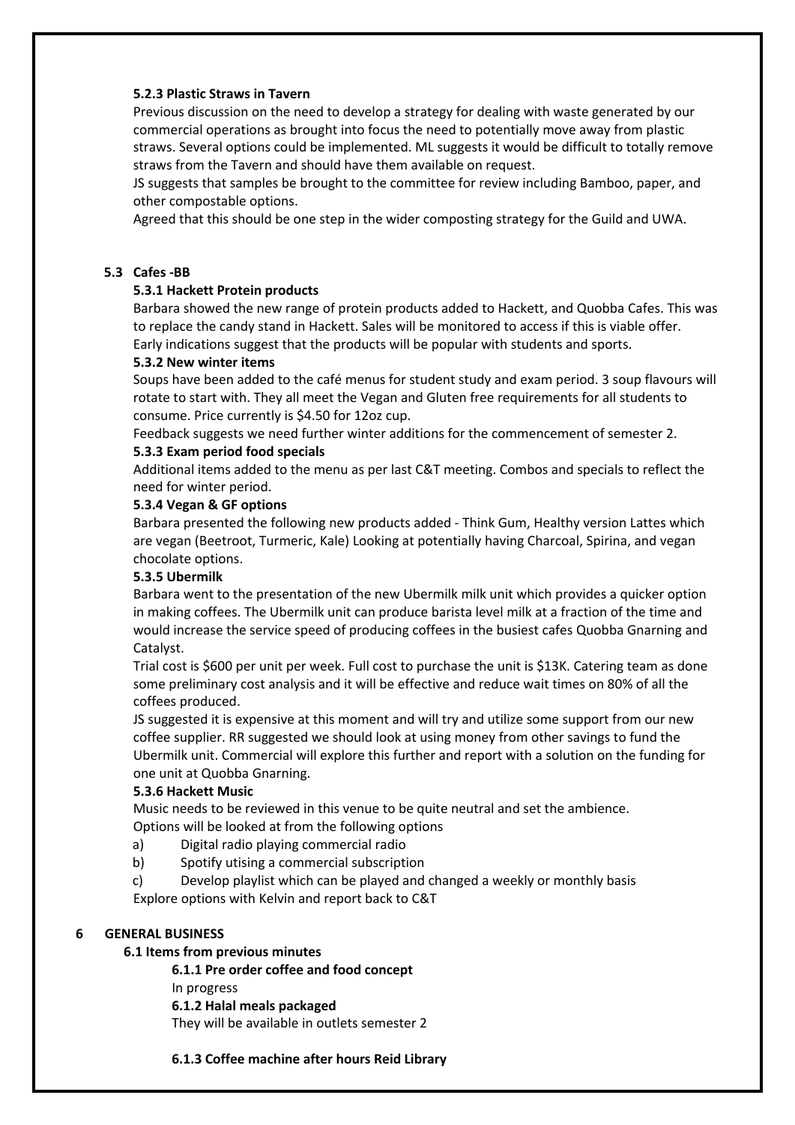#### **5.2.3 Plastic Straws in Tavern**

Previous discussion on the need to develop a strategy for dealing with waste generated by our commercial operations as brought into focus the need to potentially move away from plastic straws. Several options could be implemented. ML suggests it would be difficult to totally remove straws from the Tavern and should have them available on request.

JS suggests that samples be brought to the committee for review including Bamboo, paper, and other compostable options.

Agreed that this should be one step in the wider composting strategy for the Guild and UWA.

#### **5.3 Cafes ‐BB**

#### **5.3.1 Hackett Protein products**

Barbara showed the new range of protein products added to Hackett, and Quobba Cafes. This was to replace the candy stand in Hackett. Sales will be monitored to access if this is viable offer. Early indications suggest that the products will be popular with students and sports.

#### **5.3.2 New winter items**

Soups have been added to the café menus for student study and exam period. 3 soup flavours will rotate to start with. They all meet the Vegan and Gluten free requirements for all students to consume. Price currently is \$4.50 for 12oz cup.

Feedback suggests we need further winter additions for the commencement of semester 2.

#### **5.3.3 Exam period food specials**

Additional items added to the menu as per last C&T meeting. Combos and specials to reflect the need for winter period.

#### **5.3.4 Vegan & GF options**

Barbara presented the following new products added ‐ Think Gum, Healthy version Lattes which are vegan (Beetroot, Turmeric, Kale) Looking at potentially having Charcoal, Spirina, and vegan chocolate options.

#### **5.3.5 Ubermilk**

Barbara went to the presentation of the new Ubermilk milk unit which provides a quicker option in making coffees. The Ubermilk unit can produce barista level milk at a fraction of the time and would increase the service speed of producing coffees in the busiest cafes Quobba Gnarning and Catalyst.

Trial cost is \$600 per unit per week. Full cost to purchase the unit is \$13K. Catering team as done some preliminary cost analysis and it will be effective and reduce wait times on 80% of all the coffees produced.

JS suggested it is expensive at this moment and will try and utilize some support from our new coffee supplier. RR suggested we should look at using money from other savings to fund the Ubermilk unit. Commercial will explore this further and report with a solution on the funding for one unit at Quobba Gnarning.

#### **5.3.6 Hackett Music**

Music needs to be reviewed in this venue to be quite neutral and set the ambience. Options will be looked at from the following options

- a) Digital radio playing commercial radio
- b) Spotify utising a commercial subscription

c) Develop playlist which can be played and changed a weekly or monthly basis Explore options with Kelvin and report back to C&T

#### **6 GENERAL BUSINESS**

#### **6.1 Items from previous minutes**

 **6.1.1 Pre order coffee and food concept** In progress **6.1.2 Halal meals packaged**  They will be available in outlets semester 2

#### **6.1.3 Coffee machine after hours Reid Library**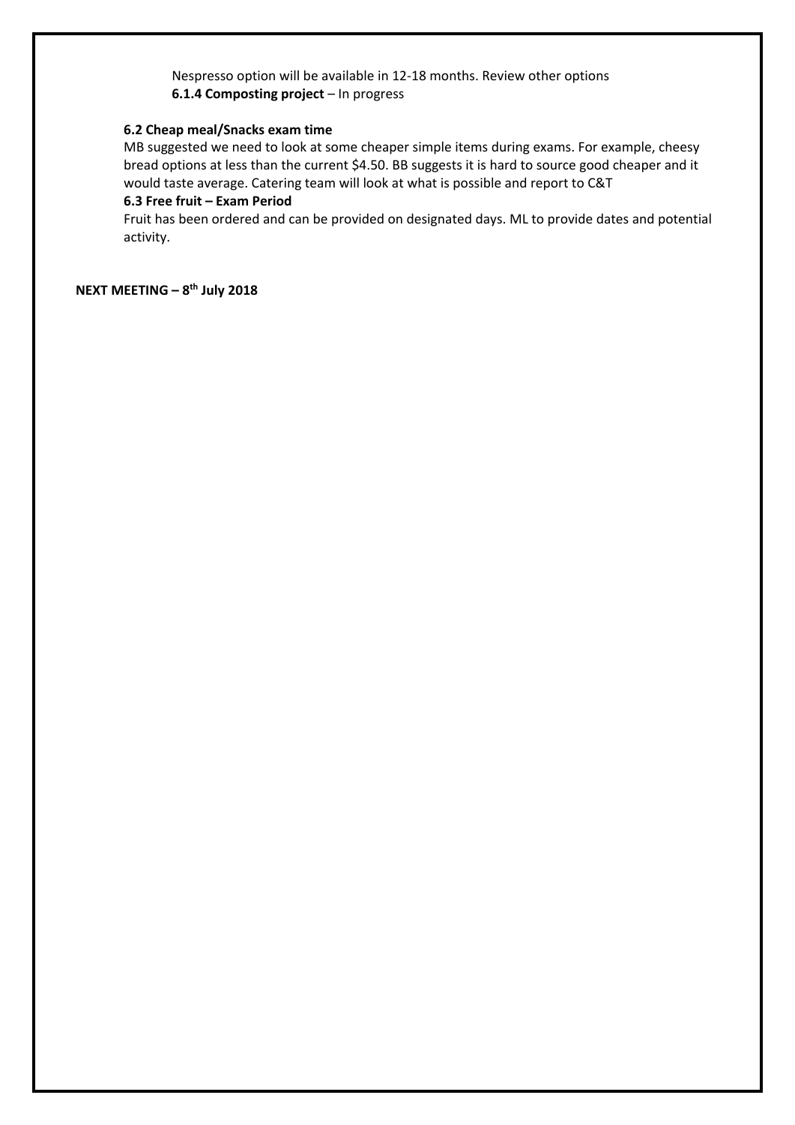Nespresso option will be available in 12‐18 months. Review other options **6.1.4 Composting project** – In progress

#### **6.2 Cheap meal/Snacks exam time**

 MB suggested we need to look at some cheaper simple items during exams. For example, cheesy bread options at less than the current \$4.50. BB suggests it is hard to source good cheaper and it would taste average. Catering team will look at what is possible and report to C&T

## **6.3 Free fruit – Exam Period**

 Fruit has been ordered and can be provided on designated days. ML to provide dates and potential activity.

**NEXT MEETING – 8th July 2018**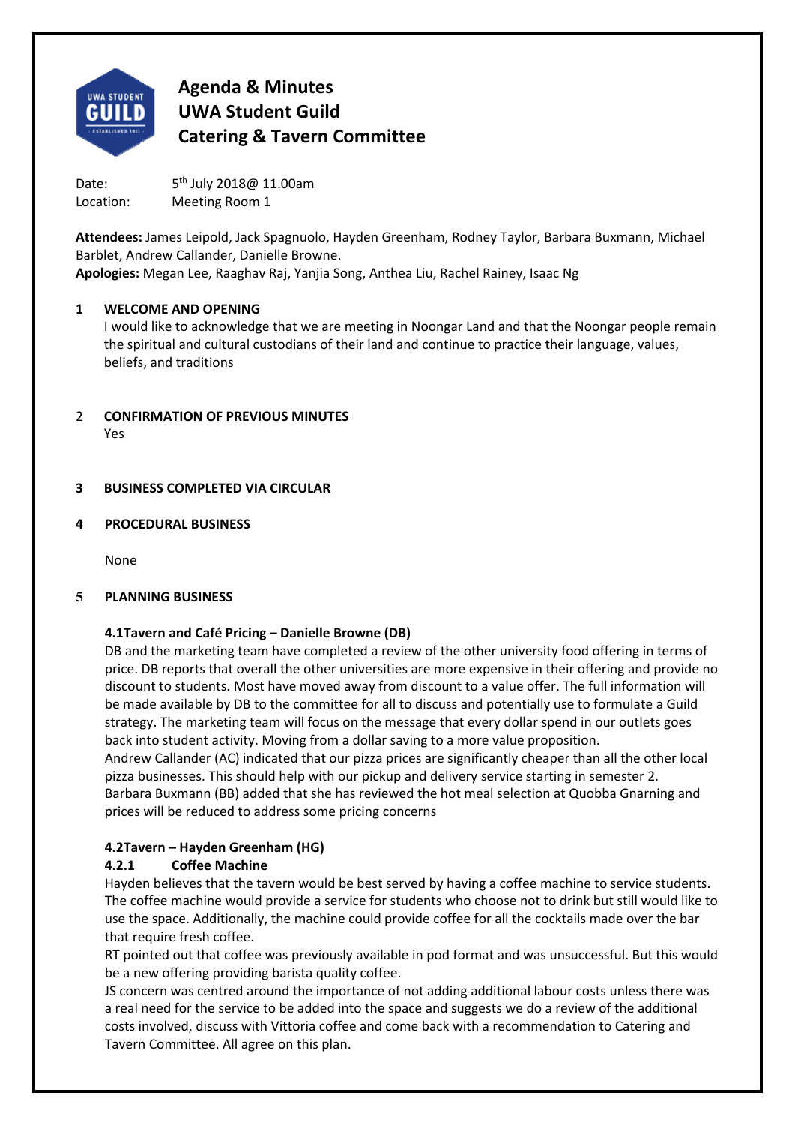

Date:  $5<sup>th</sup>$  July 2018@ 11.00am Location: Meeting Room 1

**Attendees:** James Leipold, Jack Spagnuolo, Hayden Greenham, Rodney Taylor, Barbara Buxmann, Michael Barblet, Andrew Callander, Danielle Browne.

**Apologies:** Megan Lee, Raaghav Raj, Yanjia Song, Anthea Liu, Rachel Rainey, Isaac Ng

## **1 WELCOME AND OPENING**

I would like to acknowledge that we are meeting in Noongar Land and that the Noongar people remain the spiritual and cultural custodians of their land and continue to practice their language, values, beliefs, and traditions

2 **CONFIRMATION OF PREVIOUS MINUTES**  Yes

## **3 BUSINESS COMPLETED VIA CIRCULAR**

## **4 PROCEDURAL BUSINESS**

None

## **5 PLANNING BUSINESS**

## **4.1 Tavern and Café Pricing – Danielle Browne (DB)**

DB and the marketing team have completed a review of the other university food offering in terms of price. DB reports that overall the other universities are more expensive in their offering and provide no discount to students. Most have moved away from discount to a value offer. The full information will be made available by DB to the committee for all to discuss and potentially use to formulate a Guild strategy. The marketing team will focus on the message that every dollar spend in our outlets goes back into student activity. Moving from a dollar saving to a more value proposition.

Andrew Callander (AC) indicated that our pizza prices are significantly cheaper than all the other local pizza businesses. This should help with our pickup and delivery service starting in semester 2. Barbara Buxmann (BB) added that she has reviewed the hot meal selection at Quobba Gnarning and prices will be reduced to address some pricing concerns

## **4.2 Tavern – Hayden Greenham (HG)**

## **4.2.1 Coffee Machine**

Hayden believes that the tavern would be best served by having a coffee machine to service students. The coffee machine would provide a service for students who choose not to drink but still would like to use the space. Additionally, the machine could provide coffee for all the cocktails made over the bar that require fresh coffee.

RT pointed out that coffee was previously available in pod format and was unsuccessful. But this would be a new offering providing barista quality coffee.

JS concern was centred around the importance of not adding additional labour costs unless there was a real need for the service to be added into the space and suggests we do a review of the additional costs involved, discuss with Vittoria coffee and come back with a recommendation to Catering and Tavern Committee. All agree on this plan.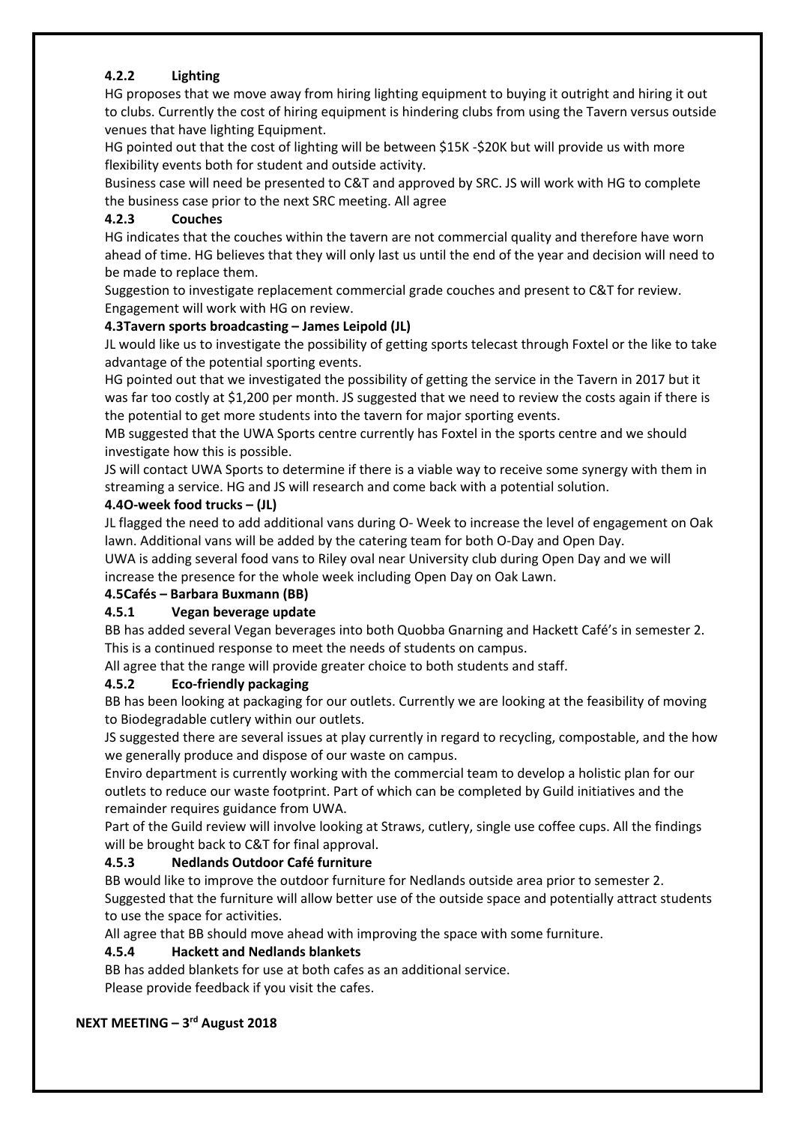## **4.2.2 Lighting**

HG proposes that we move away from hiring lighting equipment to buying it outright and hiring it out to clubs. Currently the cost of hiring equipment is hindering clubs from using the Tavern versus outside venues that have lighting Equipment.

HG pointed out that the cost of lighting will be between \$15K -\$20K but will provide us with more flexibility events both for student and outside activity.

Business case will need be presented to C&T and approved by SRC. JS will work with HG to complete the business case prior to the next SRC meeting. All agree

## **4.2.3 Couches**

HG indicates that the couches within the tavern are not commercial quality and therefore have worn ahead of time. HG believes that they will only last us until the end of the year and decision will need to be made to replace them.

Suggestion to investigate replacement commercial grade couches and present to C&T for review. Engagement will work with HG on review.

## **4.3 Tavern sports broadcasting – James Leipold (JL)**

JL would like us to investigate the possibility of getting sports telecast through Foxtel or the like to take advantage of the potential sporting events.

HG pointed out that we investigated the possibility of getting the service in the Tavern in 2017 but it was far too costly at \$1,200 per month. JS suggested that we need to review the costs again if there is the potential to get more students into the tavern for major sporting events.

MB suggested that the UWA Sports centre currently has Foxtel in the sports centre and we should investigate how this is possible.

JS will contact UWA Sports to determine if there is a viable way to receive some synergy with them in streaming a service. HG and JS will research and come back with a potential solution.

## **4.4 O‐week food trucks – (JL)**

JL flagged the need to add additional vans during O‐ Week to increase the level of engagement on Oak lawn. Additional vans will be added by the catering team for both O‐Day and Open Day.

UWA is adding several food vans to Riley oval near University club during Open Day and we will increase the presence for the whole week including Open Day on Oak Lawn.

## **4.5 Cafés – Barbara Buxmann (BB)**

## **4.5.1 Vegan beverage update**

BB has added several Vegan beverages into both Quobba Gnarning and Hackett Café's in semester 2. This is a continued response to meet the needs of students on campus.

All agree that the range will provide greater choice to both students and staff.

## **4.5.2 Eco‐friendly packaging**

BB has been looking at packaging for our outlets. Currently we are looking at the feasibility of moving to Biodegradable cutlery within our outlets.

JS suggested there are several issues at play currently in regard to recycling, compostable, and the how we generally produce and dispose of our waste on campus.

Enviro department is currently working with the commercial team to develop a holistic plan for our outlets to reduce our waste footprint. Part of which can be completed by Guild initiatives and the remainder requires guidance from UWA.

Part of the Guild review will involve looking at Straws, cutlery, single use coffee cups. All the findings will be brought back to C&T for final approval.

## **4.5.3 Nedlands Outdoor Café furniture**

BB would like to improve the outdoor furniture for Nedlands outside area prior to semester 2. Suggested that the furniture will allow better use of the outside space and potentially attract students to use the space for activities.

All agree that BB should move ahead with improving the space with some furniture.

## **4.5.4 Hackett and Nedlands blankets**

BB has added blankets for use at both cafes as an additional service. Please provide feedback if you visit the cafes.

## **NEXT MEETING – 3rd August 2018**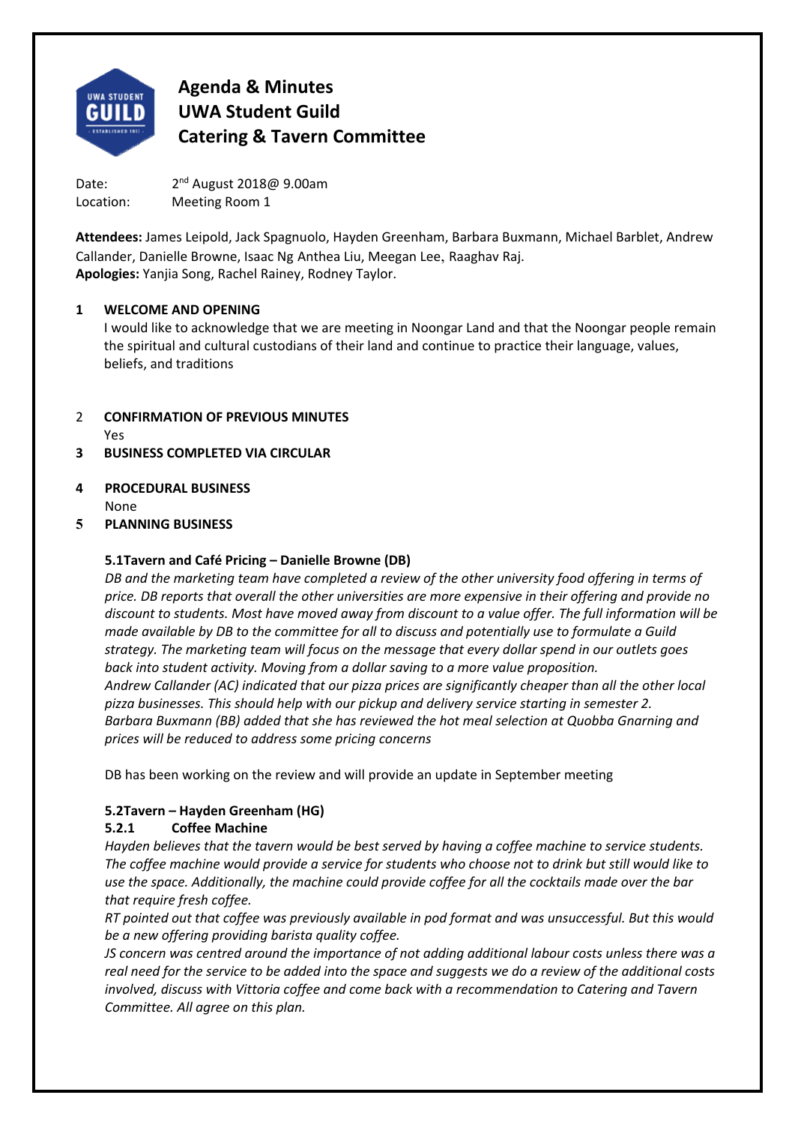

Date: 2<sup>nd</sup> August 2018@ 9.00am Location: Meeting Room 1

**Attendees:** James Leipold, Jack Spagnuolo, Hayden Greenham, Barbara Buxmann, Michael Barblet, Andrew Callander, Danielle Browne, Isaac Ng Anthea Liu, Meegan Lee, Raaghav Raj. **Apologies:** Yanjia Song, Rachel Rainey, Rodney Taylor.

#### **1 WELCOME AND OPENING**

I would like to acknowledge that we are meeting in Noongar Land and that the Noongar people remain the spiritual and cultural custodians of their land and continue to practice their language, values, beliefs, and traditions

- 2 **CONFIRMATION OF PREVIOUS MINUTES**  Yes
- **3 BUSINESS COMPLETED VIA CIRCULAR**
- **4 PROCEDURAL BUSINESS**  None
- **5 PLANNING BUSINESS**

#### **5.1 Tavern and Café Pricing – Danielle Browne (DB)**

*DB and the marketing team have completed a review of the other university food offering in terms of price. DB reports that overall the other universities are more expensive in their offering and provide no discount to students. Most have moved away from discount to a value offer. The full information will be made available by DB to the committee for all to discuss and potentially use to formulate a Guild strategy. The marketing team will focus on the message that every dollar spend in our outlets goes*  back into student activity. Moving from a dollar saving to a more value proposition. *Andrew Callander (AC) indicated that our pizza prices are significantly cheaper than all the other local pizza businesses. This should help with our pickup and delivery service starting in semester 2. Barbara Buxmann (BB) added that she has reviewed the hot meal selection at Quobba Gnarning and prices will be reduced to address some pricing concerns* 

DB has been working on the review and will provide an update in September meeting

## **5.2 Tavern – Hayden Greenham (HG)**

## **5.2.1 Coffee Machine**

*Hayden believes that the tavern would be best served by having a coffee machine to service students. The coffee machine would provide a service for students who choose not to drink but still would like to use the space. Additionally, the machine could provide coffee for all the cocktails made over the bar that require fresh coffee.* 

*RT pointed out that coffee was previously available in pod format and was unsuccessful. But this would be a new offering providing barista quality coffee.* 

*JS concern was centred around the importance of not adding additional labour costs unless there was a real need for the service to be added into the space and suggests we do a review of the additional costs involved, discuss with Vittoria coffee and come back with a recommendation to Catering and Tavern Committee. All agree on this plan.*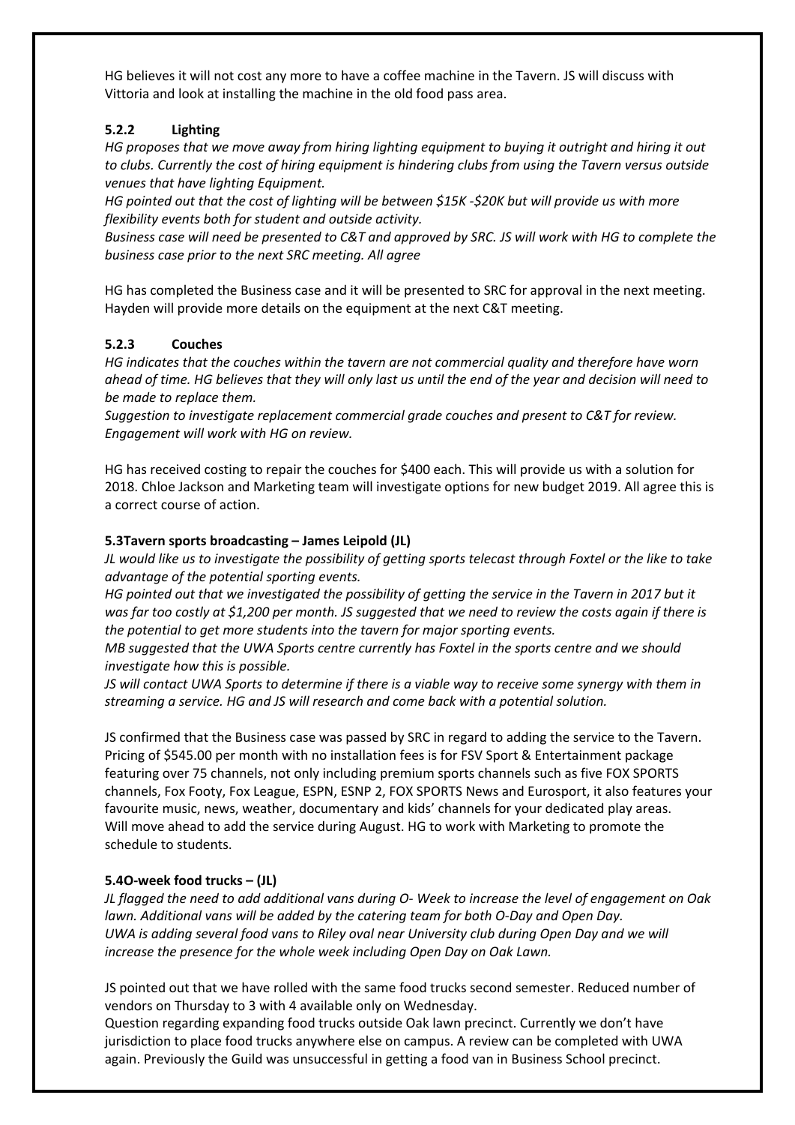HG believes it will not cost any more to have a coffee machine in the Tavern. JS will discuss with Vittoria and look at installing the machine in the old food pass area.

## **5.2.2 Lighting**

*HG proposes that we move away from hiring lighting equipment to buying it outright and hiring it out to clubs. Currently the cost of hiring equipment is hindering clubs from using the Tavern versus outside venues that have lighting Equipment.* 

*HG pointed out that the cost of lighting will be between \$15K ‐\$20K but will provide us with more flexibility events both for student and outside activity.* 

*Business case will need be presented to C&T and approved by SRC. JS will work with HG to complete the business case prior to the next SRC meeting. All agree* 

HG has completed the Business case and it will be presented to SRC for approval in the next meeting. Hayden will provide more details on the equipment at the next C&T meeting.

#### **5.2.3 Couches**

*HG indicates that the couches within the tavern are not commercial quality and therefore have worn ahead of time. HG believes that they will only last us until the end of the year and decision will need to be made to replace them.* 

*Suggestion to investigate replacement commercial grade couches and present to C&T for review. Engagement will work with HG on review.* 

HG has received costing to repair the couches for \$400 each. This will provide us with a solution for 2018. Chloe Jackson and Marketing team will investigate options for new budget 2019. All agree this is a correct course of action.

#### **5.3 Tavern sports broadcasting – James Leipold (JL)**

*JL would like us to investigate the possibility of getting sports telecast through Foxtel or the like to take advantage of the potential sporting events.* 

*HG pointed out that we investigated the possibility of getting the service in the Tavern in 2017 but it was far too costly at \$1,200 per month. JS suggested that we need to review the costs again if there is the potential to get more students into the tavern for major sporting events.* 

*MB suggested that the UWA Sports centre currently has Foxtel in the sports centre and we should investigate how this is possible.* 

*JS will contact UWA Sports to determine if there is a viable way to receive some synergy with them in streaming a service. HG and JS will research and come back with a potential solution.* 

JS confirmed that the Business case was passed by SRC in regard to adding the service to the Tavern. Pricing of \$545.00 per month with no installation fees is for FSV Sport & Entertainment package featuring over 75 channels, not only including premium sports channels such as five FOX SPORTS channels, Fox Footy, Fox League, ESPN, ESNP 2, FOX SPORTS News and Eurosport, it also features your favourite music, news, weather, documentary and kids' channels for your dedicated play areas. Will move ahead to add the service during August. HG to work with Marketing to promote the schedule to students.

## **5.4 O‐week food trucks – (JL)**

*JL flagged the need to add additional vans during O‐ Week to increase the level of engagement on Oak lawn. Additional vans will be added by the catering team for both O‐Day and Open Day. UWA is adding several food vans to Riley oval near University club during Open Day and we will increase the presence for the whole week including Open Day on Oak Lawn.* 

JS pointed out that we have rolled with the same food trucks second semester. Reduced number of vendors on Thursday to 3 with 4 available only on Wednesday.

Question regarding expanding food trucks outside Oak lawn precinct. Currently we don't have jurisdiction to place food trucks anywhere else on campus. A review can be completed with UWA again. Previously the Guild was unsuccessful in getting a food van in Business School precinct.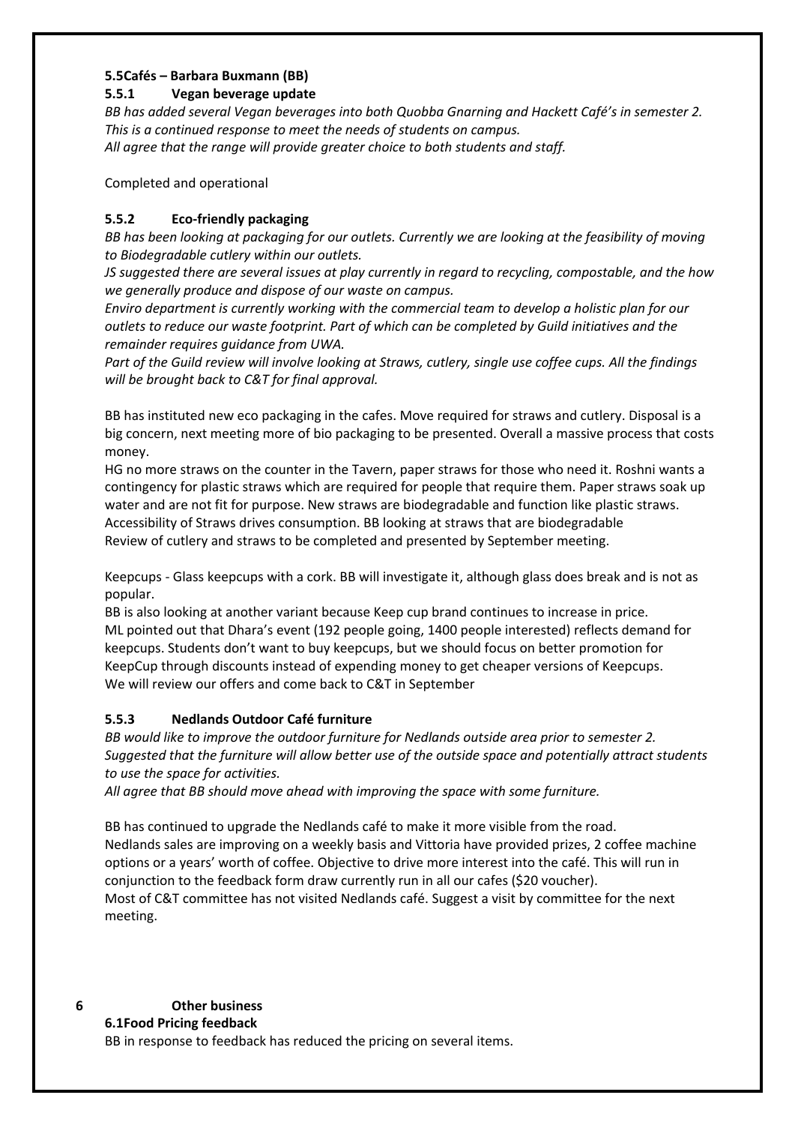#### **5.5 Cafés – Barbara Buxmann (BB)**

#### **5.5.1 Vegan beverage update**

*BB has added several Vegan beverages into both Quobba Gnarning and Hackett Café's in semester 2. This is a continued response to meet the needs of students on campus. All agree that the range will provide greater choice to both students and staff.* 

Completed and operational

## **5.5.2 Eco‐friendly packaging**

*BB has been looking at packaging for our outlets. Currently we are looking at the feasibility of moving to Biodegradable cutlery within our outlets.* 

*JS suggested there are several issues at play currently in regard to recycling, compostable, and the how we generally produce and dispose of our waste on campus.* 

*Enviro department is currently working with the commercial team to develop a holistic plan for our outlets to reduce our waste footprint. Part of which can be completed by Guild initiatives and the remainder requires guidance from UWA.* 

*Part of the Guild review will involve looking at Straws, cutlery, single use coffee cups. All the findings will be brought back to C&T for final approval.* 

BB has instituted new eco packaging in the cafes. Move required for straws and cutlery. Disposal is a big concern, next meeting more of bio packaging to be presented. Overall a massive process that costs money.

HG no more straws on the counter in the Tavern, paper straws for those who need it. Roshni wants a contingency for plastic straws which are required for people that require them. Paper straws soak up water and are not fit for purpose. New straws are biodegradable and function like plastic straws. Accessibility of Straws drives consumption. BB looking at straws that are biodegradable Review of cutlery and straws to be completed and presented by September meeting.

Keepcups ‐ Glass keepcups with a cork. BB will investigate it, although glass does break and is not as popular.

BB is also looking at another variant because Keep cup brand continues to increase in price. ML pointed out that Dhara's event (192 people going, 1400 people interested) reflects demand for keepcups. Students don't want to buy keepcups, but we should focus on better promotion for KeepCup through discounts instead of expending money to get cheaper versions of Keepcups. We will review our offers and come back to C&T in September

## **5.5.3 Nedlands Outdoor Café furniture**

*BB would like to improve the outdoor furniture for Nedlands outside area prior to semester 2. Suggested that the furniture will allow better use of the outside space and potentially attract students to use the space for activities.* 

*All agree that BB should move ahead with improving the space with some furniture.* 

BB has continued to upgrade the Nedlands café to make it more visible from the road. Nedlands sales are improving on a weekly basis and Vittoria have provided prizes, 2 coffee machine options or a years' worth of coffee. Objective to drive more interest into the café. This will run in conjunction to the feedback form draw currently run in all our cafes (\$20 voucher). Most of C&T committee has not visited Nedlands café. Suggest a visit by committee for the next meeting.

## **6 Other business**

**6.1 Food Pricing feedback**

BB in response to feedback has reduced the pricing on several items.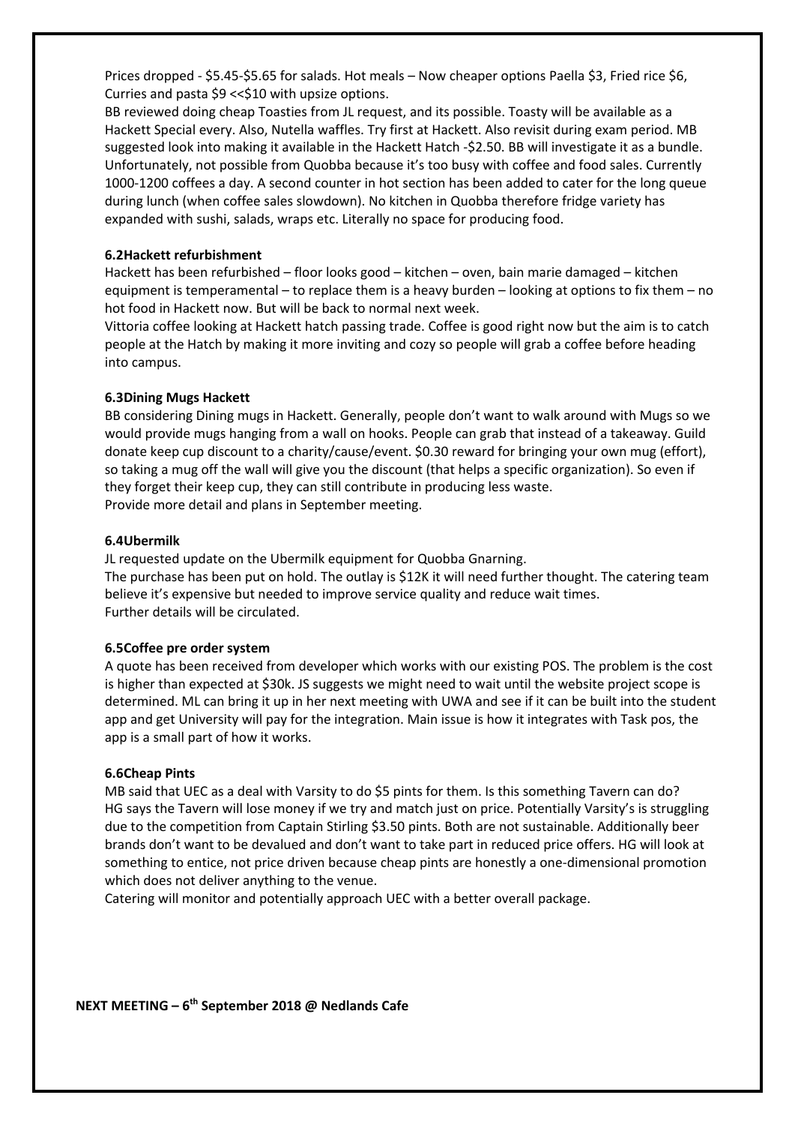Prices dropped ‐ \$5.45‐\$5.65 for salads. Hot meals – Now cheaper options Paella \$3, Fried rice \$6, Curries and pasta \$9 << \$10 with upsize options.

BB reviewed doing cheap Toasties from JL request, and its possible. Toasty will be available as a Hackett Special every. Also, Nutella waffles. Try first at Hackett. Also revisit during exam period. MB suggested look into making it available in the Hackett Hatch ‐\$2.50. BB will investigate it as a bundle. Unfortunately, not possible from Quobba because it's too busy with coffee and food sales. Currently 1000‐1200 coffees a day. A second counter in hot section has been added to cater for the long queue during lunch (when coffee sales slowdown). No kitchen in Quobba therefore fridge variety has expanded with sushi, salads, wraps etc. Literally no space for producing food.

#### **6.2 Hackett refurbishment**

Hackett has been refurbished – floor looks good – kitchen – oven, bain marie damaged – kitchen equipment is temperamental – to replace them is a heavy burden – looking at options to fix them – no hot food in Hackett now. But will be back to normal next week.

Vittoria coffee looking at Hackett hatch passing trade. Coffee is good right now but the aim is to catch people at the Hatch by making it more inviting and cozy so people will grab a coffee before heading into campus.

#### **6.3 Dining Mugs Hackett**

BB considering Dining mugs in Hackett. Generally, people don't want to walk around with Mugs so we would provide mugs hanging from a wall on hooks. People can grab that instead of a takeaway. Guild donate keep cup discount to a charity/cause/event. \$0.30 reward for bringing your own mug (effort), so taking a mug off the wall will give you the discount (that helps a specific organization). So even if they forget their keep cup, they can still contribute in producing less waste. Provide more detail and plans in September meeting.

#### **6.4 Ubermilk**

JL requested update on the Ubermilk equipment for Quobba Gnarning.

The purchase has been put on hold. The outlay is \$12K it will need further thought. The catering team believe it's expensive but needed to improve service quality and reduce wait times. Further details will be circulated.

#### **6.5 Coffee pre order system**

A quote has been received from developer which works with our existing POS. The problem is the cost is higher than expected at \$30k. JS suggests we might need to wait until the website project scope is determined. ML can bring it up in her next meeting with UWA and see if it can be built into the student app and get University will pay for the integration. Main issue is how it integrates with Task pos, the app is a small part of how it works.

#### **6.6 Cheap Pints**

MB said that UEC as a deal with Varsity to do \$5 pints for them. Is this something Tavern can do? HG says the Tavern will lose money if we try and match just on price. Potentially Varsity's is struggling due to the competition from Captain Stirling \$3.50 pints. Both are not sustainable. Additionally beer brands don't want to be devalued and don't want to take part in reduced price offers. HG will look at something to entice, not price driven because cheap pints are honestly a one‐dimensional promotion which does not deliver anything to the venue.

Catering will monitor and potentially approach UEC with a better overall package.

**NEXT MEETING – 6th September 2018 @ Nedlands Cafe**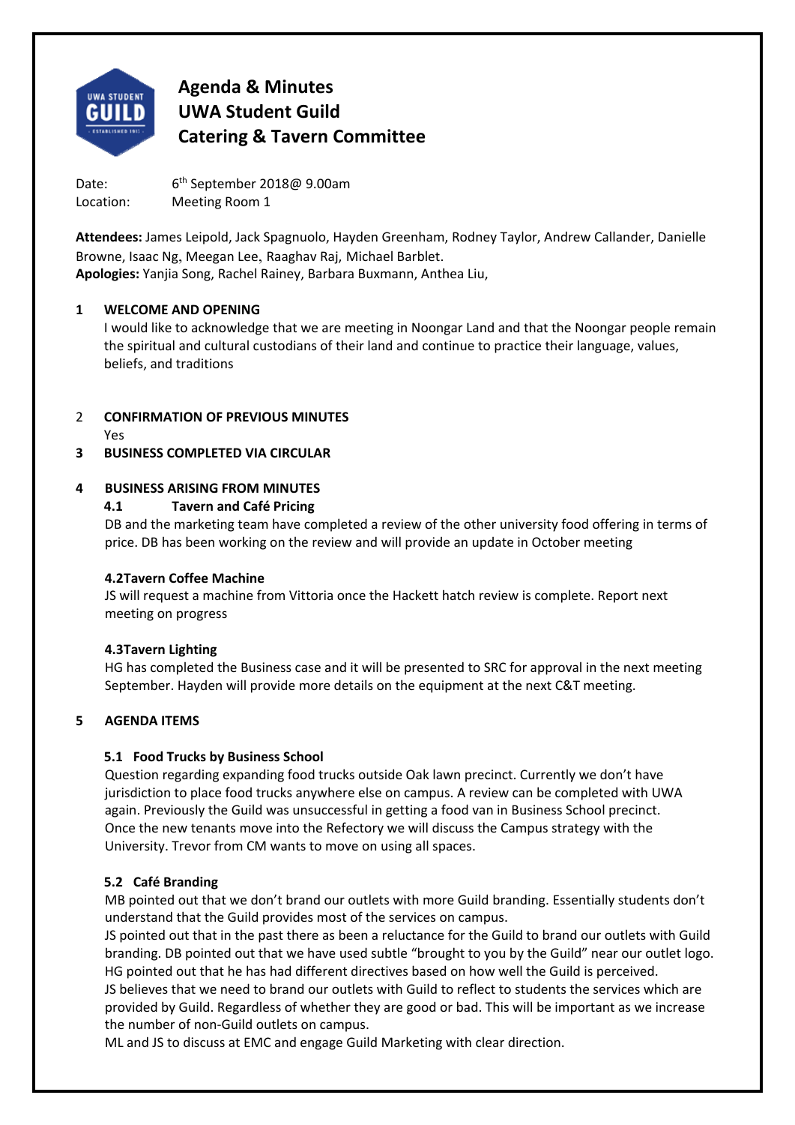

Date:  $6<sup>th</sup>$  September 2018@ 9.00am Location: Meeting Room 1

**Attendees:** James Leipold, Jack Spagnuolo, Hayden Greenham, Rodney Taylor, Andrew Callander, Danielle Browne, Isaac Ng, Meegan Lee, Raaghav Raj, Michael Barblet. **Apologies:** Yanjia Song, Rachel Rainey, Barbara Buxmann, Anthea Liu,

#### **1 WELCOME AND OPENING**

I would like to acknowledge that we are meeting in Noongar Land and that the Noongar people remain the spiritual and cultural custodians of their land and continue to practice their language, values, beliefs, and traditions

## 2 **CONFIRMATION OF PREVIOUS MINUTES**

Yes

## **3 BUSINESS COMPLETED VIA CIRCULAR**

#### **4 BUSINESS ARISING FROM MINUTES**

#### **4.1 Tavern and Café Pricing**

DB and the marketing team have completed a review of the other university food offering in terms of price. DB has been working on the review and will provide an update in October meeting

#### **4.2 Tavern Coffee Machine**

JS will request a machine from Vittoria once the Hackett hatch review is complete. Report next meeting on progress

#### **4.3 Tavern Lighting**

HG has completed the Business case and it will be presented to SRC for approval in the next meeting September. Hayden will provide more details on the equipment at the next C&T meeting.

## **5 AGENDA ITEMS**

## **5.1 Food Trucks by Business School**

Question regarding expanding food trucks outside Oak lawn precinct. Currently we don't have jurisdiction to place food trucks anywhere else on campus. A review can be completed with UWA again. Previously the Guild was unsuccessful in getting a food van in Business School precinct. Once the new tenants move into the Refectory we will discuss the Campus strategy with the University. Trevor from CM wants to move on using all spaces.

## **5.2 Café Branding**

MB pointed out that we don't brand our outlets with more Guild branding. Essentially students don't understand that the Guild provides most of the services on campus.

JS pointed out that in the past there as been a reluctance for the Guild to brand our outlets with Guild branding. DB pointed out that we have used subtle "brought to you by the Guild" near our outlet logo. HG pointed out that he has had different directives based on how well the Guild is perceived.

JS believes that we need to brand our outlets with Guild to reflect to students the services which are provided by Guild. Regardless of whether they are good or bad. This will be important as we increase the number of non‐Guild outlets on campus.

ML and JS to discuss at EMC and engage Guild Marketing with clear direction.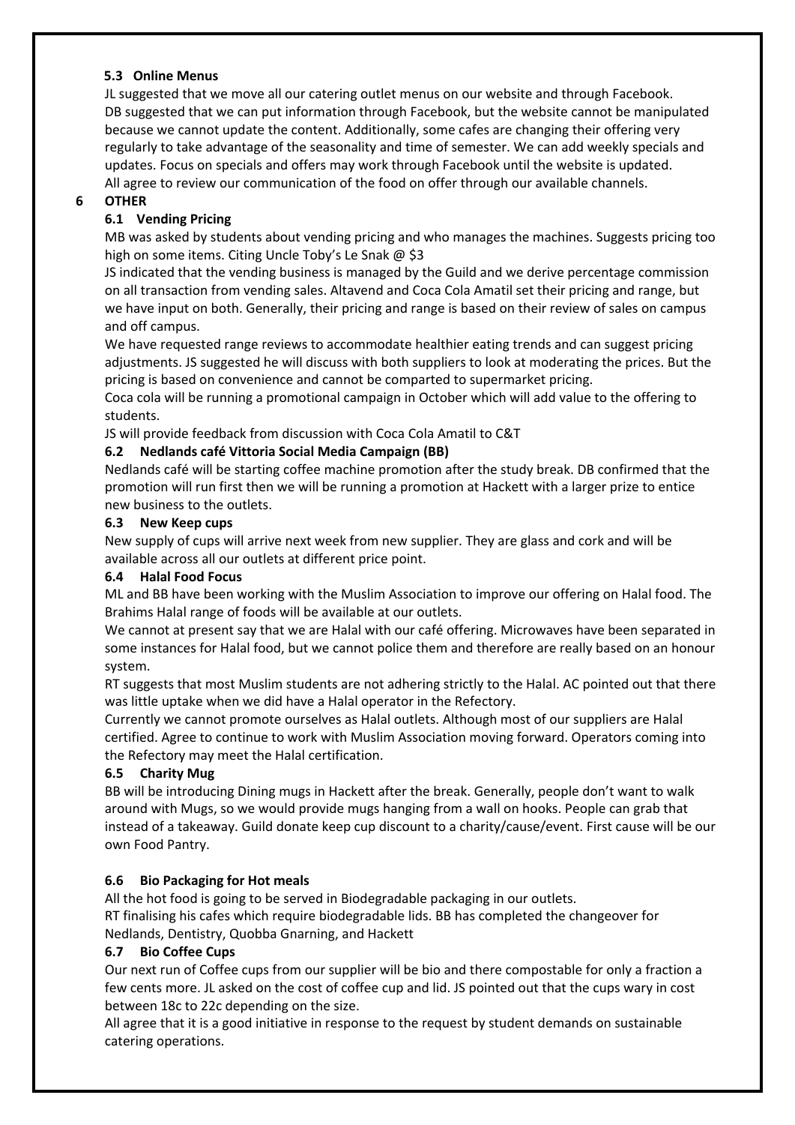#### **5.3 Online Menus**

JL suggested that we move all our catering outlet menus on our website and through Facebook. DB suggested that we can put information through Facebook, but the website cannot be manipulated because we cannot update the content. Additionally, some cafes are changing their offering very regularly to take advantage of the seasonality and time of semester. We can add weekly specials and updates. Focus on specials and offers may work through Facebook until the website is updated. All agree to review our communication of the food on offer through our available channels.

#### **6 OTHER**

#### **6.1 Vending Pricing**

MB was asked by students about vending pricing and who manages the machines. Suggests pricing too high on some items. Citing Uncle Toby's Le Snak @ \$3

JS indicated that the vending business is managed by the Guild and we derive percentage commission on all transaction from vending sales. Altavend and Coca Cola Amatil set their pricing and range, but we have input on both. Generally, their pricing and range is based on their review of sales on campus and off campus.

We have requested range reviews to accommodate healthier eating trends and can suggest pricing adjustments. JS suggested he will discuss with both suppliers to look at moderating the prices. But the pricing is based on convenience and cannot be comparted to supermarket pricing.

Coca cola will be running a promotional campaign in October which will add value to the offering to students.

JS will provide feedback from discussion with Coca Cola Amatil to C&T

#### **6.2 Nedlands café Vittoria Social Media Campaign (BB)**

Nedlands café will be starting coffee machine promotion after the study break. DB confirmed that the promotion will run first then we will be running a promotion at Hackett with a larger prize to entice new business to the outlets.

#### **6.3 New Keep cups**

New supply of cups will arrive next week from new supplier. They are glass and cork and will be available across all our outlets at different price point.

#### **6.4 Halal Food Focus**

ML and BB have been working with the Muslim Association to improve our offering on Halal food. The Brahims Halal range of foods will be available at our outlets.

We cannot at present say that we are Halal with our café offering. Microwaves have been separated in some instances for Halal food, but we cannot police them and therefore are really based on an honour system.

RT suggests that most Muslim students are not adhering strictly to the Halal. AC pointed out that there was little uptake when we did have a Halal operator in the Refectory.

Currently we cannot promote ourselves as Halal outlets. Although most of our suppliers are Halal certified. Agree to continue to work with Muslim Association moving forward. Operators coming into the Refectory may meet the Halal certification.

## **6.5 Charity Mug**

BB will be introducing Dining mugs in Hackett after the break. Generally, people don't want to walk around with Mugs, so we would provide mugs hanging from a wall on hooks. People can grab that instead of a takeaway. Guild donate keep cup discount to a charity/cause/event. First cause will be our own Food Pantry.

## **6.6 Bio Packaging for Hot meals**

All the hot food is going to be served in Biodegradable packaging in our outlets.

RT finalising his cafes which require biodegradable lids. BB has completed the changeover for Nedlands, Dentistry, Quobba Gnarning, and Hackett

#### **6.7 Bio Coffee Cups**

Our next run of Coffee cups from our supplier will be bio and there compostable for only a fraction a few cents more. JL asked on the cost of coffee cup and lid. JS pointed out that the cups wary in cost between 18c to 22c depending on the size.

All agree that it is a good initiative in response to the request by student demands on sustainable catering operations.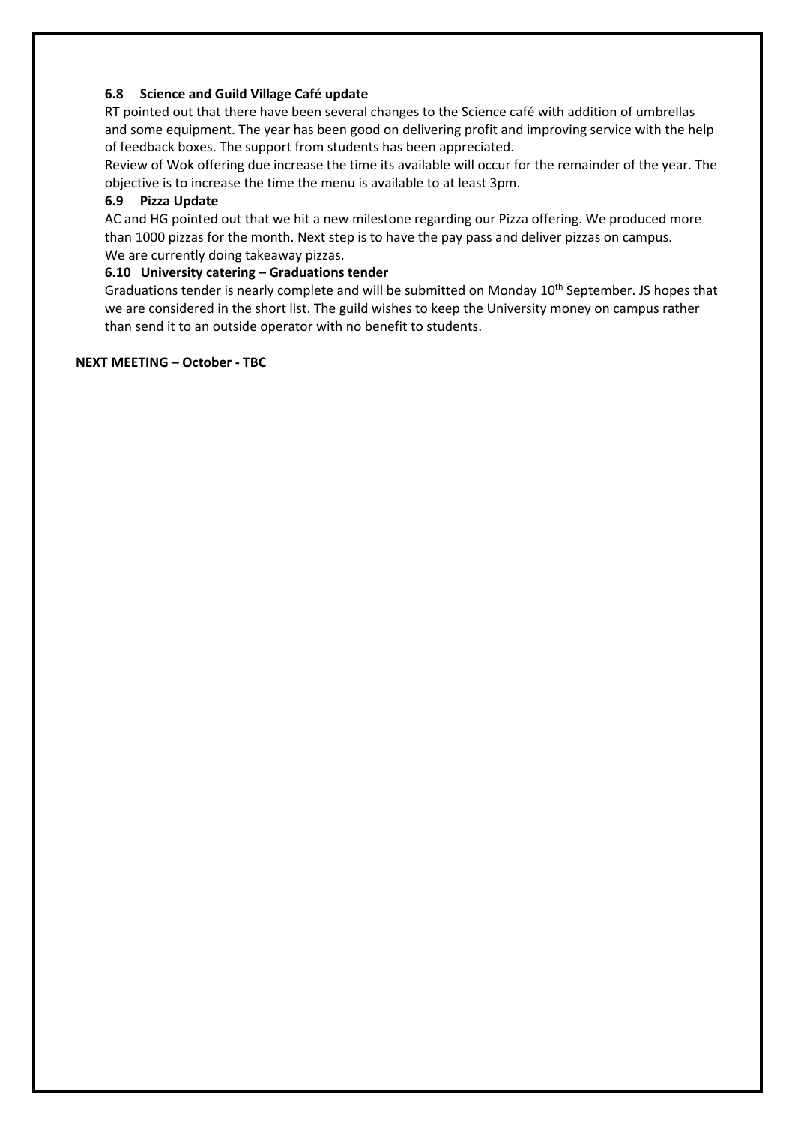#### **6.8 Science and Guild Village Café update**

RT pointed out that there have been several changes to the Science café with addition of umbrellas and some equipment. The year has been good on delivering profit and improving service with the help of feedback boxes. The support from students has been appreciated.

Review of Wok offering due increase the time its available will occur for the remainder of the year. The objective is to increase the time the menu is available to at least 3pm.

#### **6.9 Pizza Update**

AC and HG pointed out that we hit a new milestone regarding our Pizza offering. We produced more than 1000 pizzas for the month. Next step is to have the pay pass and deliver pizzas on campus. We are currently doing takeaway pizzas.

#### **6.10 University catering – Graduations tender**

Graduations tender is nearly complete and will be submitted on Monday 10<sup>th</sup> September. JS hopes that we are considered in the short list. The guild wishes to keep the University money on campus rather than send it to an outside operator with no benefit to students.

#### **NEXT MEETING – October ‐ TBC**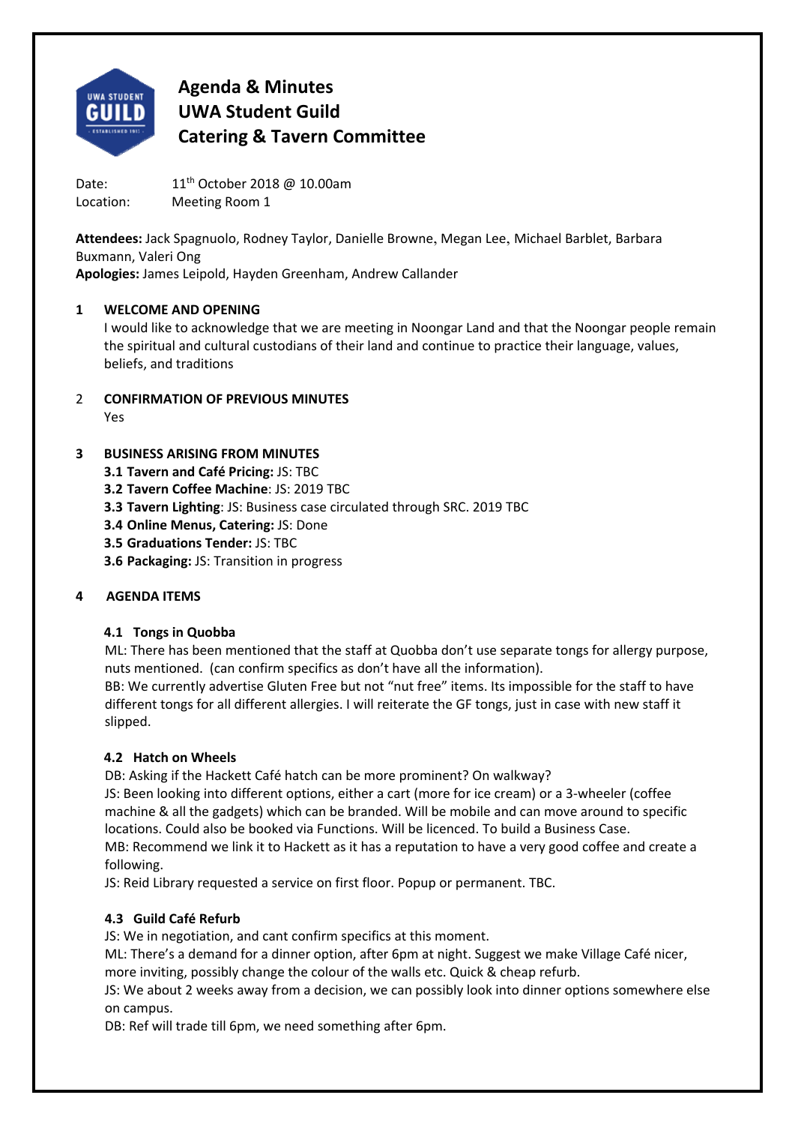

Date: 11<sup>th</sup> October 2018 @ 10.00am Location: Meeting Room 1

**Attendees:** Jack Spagnuolo, Rodney Taylor, Danielle Browne, Megan Lee, Michael Barblet, Barbara Buxmann, Valeri Ong **Apologies:** James Leipold, Hayden Greenham, Andrew Callander

## **1 WELCOME AND OPENING**

I would like to acknowledge that we are meeting in Noongar Land and that the Noongar people remain the spiritual and cultural custodians of their land and continue to practice their language, values, beliefs, and traditions

- 2 **CONFIRMATION OF PREVIOUS MINUTES** 
	- Yes

## **3 BUSINESS ARISING FROM MINUTES**

- **3.1 Tavern and Café Pricing:** JS: TBC
- **3.2 Tavern Coffee Machine**: JS: 2019 TBC
- **3.3 Tavern Lighting**: JS: Business case circulated through SRC. 2019 TBC
- **3.4 Online Menus, Catering:** JS: Done
- **3.5 Graduations Tender:** JS: TBC
- **3.6 Packaging:** JS: Transition in progress

## **4 AGENDA ITEMS**

## **4.1 Tongs in Quobba**

ML: There has been mentioned that the staff at Quobba don't use separate tongs for allergy purpose, nuts mentioned. (can confirm specifics as don't have all the information).

BB: We currently advertise Gluten Free but not "nut free" items. Its impossible for the staff to have different tongs for all different allergies. I will reiterate the GF tongs, just in case with new staff it slipped.

## **4.2 Hatch on Wheels**

DB: Asking if the Hackett Café hatch can be more prominent? On walkway?

JS: Been looking into different options, either a cart (more for ice cream) or a 3‐wheeler (coffee machine & all the gadgets) which can be branded. Will be mobile and can move around to specific locations. Could also be booked via Functions. Will be licenced. To build a Business Case. MB: Recommend we link it to Hackett as it has a reputation to have a very good coffee and create a following.

JS: Reid Library requested a service on first floor. Popup or permanent. TBC.

## **4.3 Guild Café Refurb**

JS: We in negotiation, and cant confirm specifics at this moment.

ML: There's a demand for a dinner option, after 6pm at night. Suggest we make Village Café nicer, more inviting, possibly change the colour of the walls etc. Quick & cheap refurb.

JS: We about 2 weeks away from a decision, we can possibly look into dinner options somewhere else on campus.

DB: Ref will trade till 6pm, we need something after 6pm.